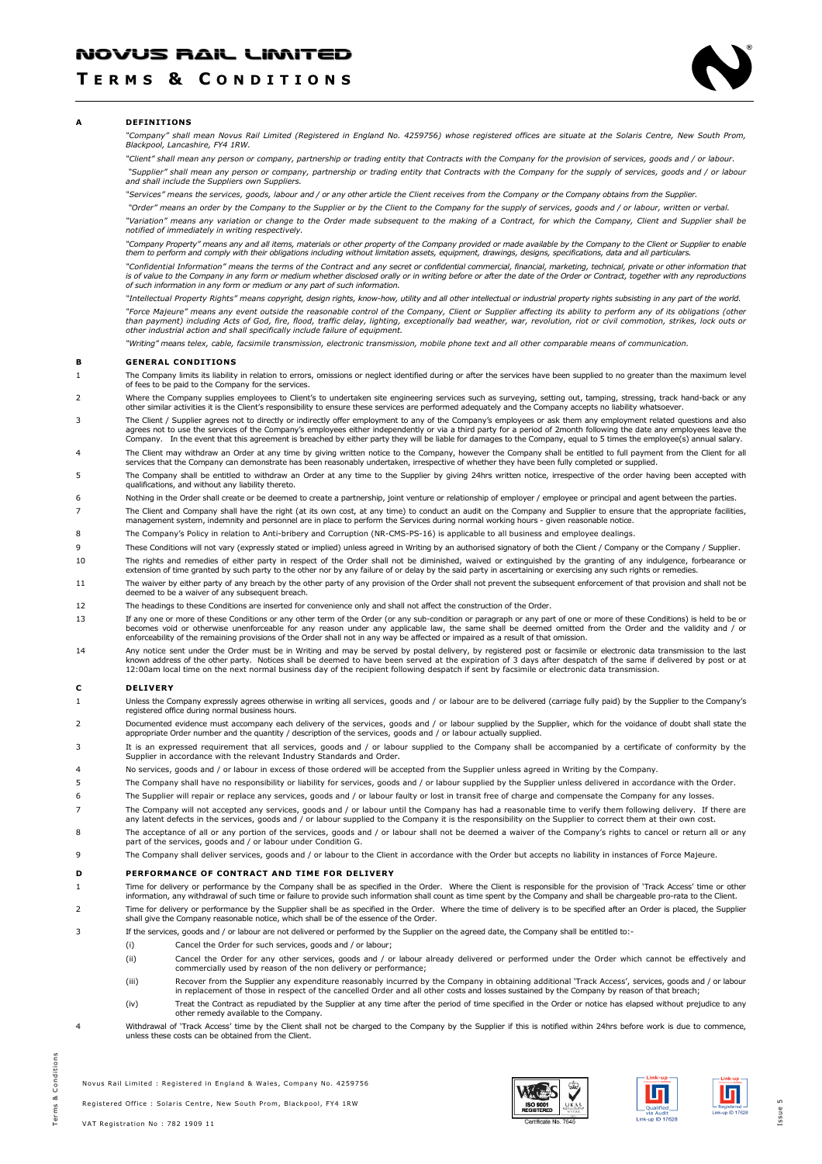# NOVUS RAIL LIMITED

# T E R M S & C O N D I T I O N S



### A DEFINITIONS

"Company" shall mean Novus Rail Limited (Registered in England No. 4259756) whose registered offices are situate at the Solaris Centre, New South Prom, Blackpool, Lancashire, FY4 1RW.

"Client" shall mean any person or company, partnership or trading entity that Contracts with the Company for the provision of services, goods and / or labour.

"Supplier" shall mean any person or company, partnership or trading entity that Contracts with the Company for the supply of services, goods and / or labour and shall include the Suppliers own Suppliers.

"Services" means the services, goods, labour and / or any other article the Client receives from the Company or the Company obtains from the Supplier.

 "Order" means an order by the Company to the Supplier or by the Client to the Company for the supply of services, goods and / or labour, written or verbal. "Variation" means any variation or change to the Order made subsequent to the making of a Contract, for which the Company, Client and Supplier shall be notified of immediately in writing respectively.

"Company Property" means any and all items, materials or other property of the Company provided or made available by the Company to the Client or Supplier to enable<br>them to perform and comply with their obligations includi

"Confidential Information" means the terms of the Contract and any secret or confidential commercial, financial, marketing, technical, private or other information that is of value to the Company in any form or medium whether disclosed orally or in writing before or after the date of the Order or Contract, together with any reproductions of such information in any form or medium or any part of such information.

"Intellectual Property Rights" means copyright, design rights, know-how, utility and all other intellectual or industrial property rights subsisting in any part of the world. "Force Majeure" means any event outside the reasonable control of the Company, Client or Supplier affecting its ability to perform any of its obligations (other than payment) including Acts of God, fire, flood, traffic delay, lighting, exceptionally bad weather, war, revolution, riot or civil commotion, strikes, lock outs or<br>other industrial action and shall specifically include f

"Writing" means telex, cable, facsimile transmission, electronic transmission, mobile phone text and all other comparable means of communication.

### B GENERAL CONDITIONS

- 1 The Company limits its liability in relation to errors, omissions or neglect identified during or after the services have been supplied to no greater than the maximum level of fees to be paid to the Company for the services.
- Where the Company supplies employees to Client's to undertaken site engineering services such as surveying, setting out, tamping, stressing, track hand-back or any<br>other similar activities it is the Client's responsibility
- 3 The Client / Supplier agrees not to directly or indirectly offer employment to any of the Company's employees or ask them any employment related questions and also agrees not to use the services of the Company's employees either independently or via a third party for a period of 2month following the date any employees leave the<br>Company. In the event that this agreement is breached
- The Client may withdraw an Order at any time by giving written notice to the Company, however the Company shall be entitled to full payment from the Client for all<br>services that the Company can demonstrate has been reasona
- 5 The Company shall be entitled to withdraw an Order at any time to the Supplier by giving 24hrs written notice, irrespective of the order having been accepted with qualifications, and without any liability thereto.
- 6 Nothing in the Order shall create or be deemed to create a partnership, joint venture or relationship of employer / employee or principal and agent between the parties.
- The Client and Company shall have the right (at its own cost, at any time) to conduct an audit on the Company and Supplier to ensure that the appropriate facilities,<br>management system, indemnity and personnel are in place
- 8 The Company's Policy in relation to Anti-bribery and Corruption (NR-CMS-PS-16) is applicable to all business and employee dealings.
- These Conditions will not vary (expressly stated or implied) unless agreed in Writing by an authorised signatory of both the Client / Company or the Company / Supplier.
- The rights and remedies of either party in respect of the Order shall not be diminished, waived or extinguished by the granting of any indulgence, forbearance or<br>extension of time granted by such party to the other nor by
- 11 The waiver by either party of any breach by the other party of any provision of the Order shall not prevent the subsequent enforcement of that provision and shall not be deemed to be a waiver of any subsequent breach.
- 12 The headings to these Conditions are inserted for convenience only and shall not affect the construction of the Order.
- If any one or more of these Conditions or any other term of the Order (or any sub-condition or paragraph or any part of one or more of these Conditions) is held to be or<br>becomes void or otherwise unenforceable for any reas enforceability of the remaining provisions of the Order shall not in any way be affected or impaired as a result of that omission.
- Any notice sent under the Order must be in Writing and may be served by postal delivery, by registered post or facsimile or electronic data transmission to the last<br>known address of the other party. Notices shall be deemed 12:00am local time on the next normal business day of the recipient following despatch if sent by facsimile or electronic data transmission.

#### C DELIVERY

- 1 Unless the Company expressly agrees otherwise in writing all services, goods and / or labour are to be delivered (carriage fully paid) by the Supplier to the Company's registered office during normal business hours.
- Documented evidence must accompany each delivery of the services, goods and / or labour supplied by the Supplier, which for the voidance of doubt shall state the<br>appropriate Order number and the quantity / description of t
- 3 It is an expressed requirement that all services, goods and / or labour supplied to the Company shall be accompanied by a certificate of conformity by the Supplier in accordance with the relevant Industry Standards and Order.
- 4 No services, goods and / or labour in excess of those ordered will be accepted from the Supplier unless agreed in Writing by the Company.
- 5 The Company shall have no responsibility or liability for services, goods and / or labour supplied by the Supplier unless delivered in accordance with the Order.
- 6 The Supplier will repair or replace any services, goods and / or labour faulty or lost in transit free of charge and compensate the Company for any losses.
- The Company will not accepted any services, goods and / or labour until the Company has had a reasonable time to verify them following delivery. If there are<br>any latent defects in the services, goods and / or labour suppli
- 8 The acceptance of all or any portion of the services, goods and / or labour shall not be deemed a waiver of the Company's rights to cancel or return all or any part of the services, goods and / or labour under Condition G.
- 9 The Company shall deliver services, goods and / or labour to the Client in accordance with the Order but accepts no liability in instances of Force Majeure.

### D PERFORMANCE OF CONTRACT AND TIME FOR DELIVERY

- 1 Time for delivery or performance by the Company shall be as specified in the Order. Where the Client is responsible for the provision of 'Track Access' time or other information, any withdrawal of such time or failure to provide such information shall count as time spent by the Company and shall be chargeable pro-rata to the Client. 2 Time for delivery or performance by the Supplier shall be as specified in the Order. Where the time of delivery is to be specified after an Order is placed, the Supplier
- shall give the Company reasonable notice, which shall be of the essence of the Order.
- 3 If the services, goods and / or labour are not delivered or performed by the Supplier on the agreed date, the Company shall be entitled to:-
	- (i) Cancel the Order for such services, goods and / or labour;
	- (ii) Cancel the Order for any other services, goods and / or labour already delivered or performed under the Order which cannot be effectively and commercially used by reason of the non delivery or performance;
	- (iii) Recover from the Supplier any expenditure reasonably incurred by the Company in obtaining additional 'Track Access', services, goods and / or labour in replacement of those in respect of the cancelled Order and all other costs and losses sustained by the Company by reason of that breach;
	- (iv) Treat the Contract as repudiated by the Supplier at any time after the period of time specified in the Order or notice has elapsed without prejudice to any other remedy available to the Company.
- 4 Withdrawal of 'Track Access' time by the Client shall not be charged to the Company by the Supplier if this is notified within 24hrs before work is due to commence, unless these costs can be obtained from the Client.





Ы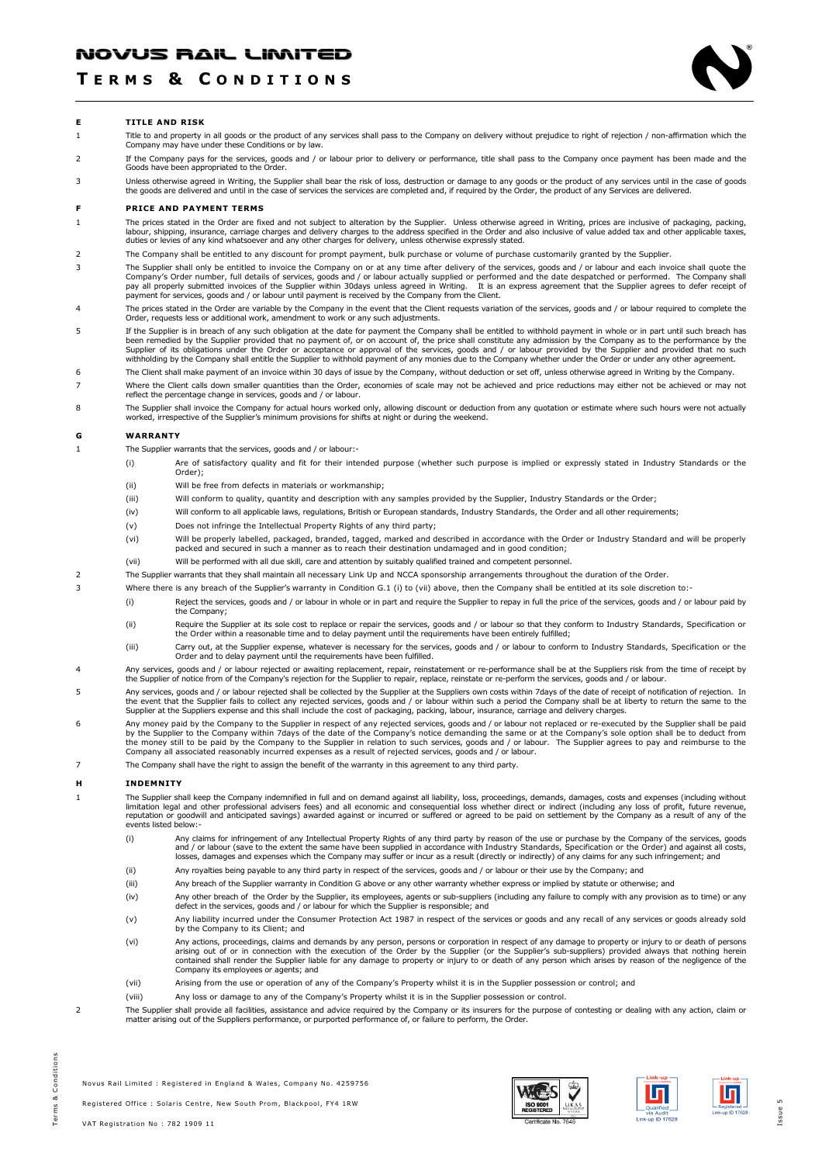# T E R M S & C O N D I T I O N S



### E TITLE AND RISK

- 1 Title to and property in all goods or the product of any services shall pass to the Company on delivery without prejudice to right of rejection / non-affirmation which the Company may have under these Conditions or by law.
- 2 If the Company pays for the services, goods and / or labour prior to delivery or performance, title shall pass to the Company once payment has been made and the Goods have been appropriated to the Order.
- Unless otherwise agreed in Writing, the Supplier shall bear the risk of loss, destruction or damage to any goods or the product of any services until in the case of goods<br>the goods are delivered and until in the case of se

#### F PRICE AND PAYMENT TERMS

- 1 The prices stated in the Order are fixed and not subject to alteration by the Supplier. Unless otherwise agreed in Writing, prices are inclusive of packaging, packing, labour, shipping, insurance, carriage charges and delivery charges to the address specified in the Order and also inclusive of value added tax and other applicable taxes,<br>duties or levies of any kind whatsoever and any oth
- 2 The Company shall be entitled to any discount for prompt payment, bulk purchase or volume of purchase customarily granted by the Supplier.
- 3 The Supplier shall only be entitled to invoice the Company on or at any time after delivery of the services, goods and / or labour and each invoice shall quote the Company's Order number, full details of services, goods and / or labour actually supplied or performed and the date despatched or performed. The Company shall<br>pay all properly submitted invoices of the Supplier within 30d
- The prices stated in the Order are variable by the Company in the event that the Client requests variation of the services, goods and / or labour required to complete the<br>Order, requests less or additional work, amendment
- 5 If the Supplier is in breach of any such obligation at the date for payment the Company shall be entitled to withhold payment in whole or in part until such breach has been remedied by the Supplier provided that no payment of, or on account of, the price shall constitute any admission by the Company as to the performance by the<br>Supplier of its obligations under the Order or acceptance or withholding by the Company shall entitle the Supplier to withhold payment of any monies due to the Company whether under the Order or under any other agreement.
- 6 The Client shall make payment of an invoice within 30 days of issue by the Company, without deduction or set off, unless otherwise agreed in Writing by the Company.
- 7 Where the Client calls down smaller quantities than the Order, economies of scale may not be achieved and price reductions may either not be achieved or may not reflect the percentage change in services, goods and / or labour.
- 8 The Supplier shall invoice the Company for actual hours worked only, allowing discount or deduction from any quotation or estimate where such hours were not actually worked, irrespective of the Supplier's minimum provisions for shifts at night or during the weekend.

## G WARRANTY

- 1 The Supplier warrants that the services, goods and / or labour:-
	- (i) Are of satisfactory quality and fit for their intended purpose (whether such purpose is implied or expressly stated in Industry Standards or the Order);
	- (ii) Will be free from defects in materials or workmanship;
	- (iii) Will conform to quality, quantity and description with any samples provided by the Supplier, Industry Standards or the Order;
	- (iv) Will conform to all applicable laws, regulations, British or European standards, Industry Standards, the Order and all other requirements;
	- (v) Does not infringe the Intellectual Property Rights of any third party;
	- (vi) Will be properly labelled, packaged, branded, tagged, marked and described in accordance with the Order or Industry Standard and will be properly packed and secured in such a manner as to reach their destination undamaged and in good condition;
	- (vii) Will be performed with all due skill, care and attention by suitably qualified trained and competent personnel.
- 2 The Supplier warrants that they shall maintain all necessary Link Up and NCCA sponsorship arrangements throughout the duration of the Order.
- 3 Where there is any breach of the Supplier's warranty in Condition G.1 (i) to (vii) above, then the Company shall be entitled at its sole discretion to:-
	- (i) Reject the services, goods and / or labour in whole or in part and require the Supplier to repay in full the price of the services, goods and / or labour paid by the Company;
		- (ii) Require the Supplier at its sole cost to replace or repair the services, goods and / or labour so that they conform to Industry Standards, Specification or<br>the Order within a reasonable time and to delay payment until
	- (iii) Carry out, at the Supplier expense, whatever is necessary for the services, goods and / or labour to conform to Industry Standards, Specification or the Order and to delay payment until the requirements have been fulfilled.
- Any services, goods and / or labour rejected or awaiting replacement, repair, reinstatement or re-performance shall be at the Suppliers risk from the time of receipt by<br>the Supplier of notice from of the Company's rejectio
- 5 Any services, goods and / or labour rejected shall be collected by the Supplier at the Suppliers own costs within 7days of the date of receipt of notification of reiection. In the event that the Supplier fails to collect any rejected services, goods and / or labour within such a period the Company shall be at liberty to return the same to the<br>Supplier at the Suppliers expense and this shall incl
- Any money paid by the Company to the Supplier in respect of any rejected services, goods and / or labour not replaced or re-executed by the Supplier shall be paid<br>by the Supplier to the Company within 7days of the date of the money still to be paid by the Company to the Supplier in relation to such services, goods and / or labour. The Supplier agrees to pay and reimburse to the Company all associated reasonably incurred expenses as a result of rejected services, goods and / or labour.
- 7 The Company shall have the right to assign the benefit of the warranty in this agreement to any third party.

#### H INDEMNITY

The Supplier shall keep the Company indemnified in full and on demand against all liability, loss, proceedings, demands, damages, costs and expenses (including without<br>limitation legal and other professional advisers fees) events listed below:-

- i) Any claims for infringement of any Intellectual Property Rights of any third party by reason of the use or purchase by the Company of the services, goods<br>and / or labour (save to the extent the same have been supplied i losses, damages and expenses which the Company may suffer or incur as a result (directly or indirectly) of any claims for any such infringement; and
- (ii) Any royalties being payable to any third party in respect of the services, goods and / or labour or their use by the Company; and
- (iii) Any breach of the Supplier warranty in Condition G above or any other warranty whether express or implied by statute or otherwise; and
- (iv) Any other breach of the Order by the Supplier, its employees, agents or sub-suppliers (including any failure to comply with any provision as to time) or any defect in the services, goods and / or labour for which the Supplier is responsible; and
- (v) Any liability incurred under the Consumer Protection Act 1987 in respect of the services or goods and any recall of any services or goods already sold by the Company to its Client; and
- (vi) Any actions, proceedings, claims and demands by any person, persons or corporation in respect of any damage to property or injury to or death of persons<br>arising out of or in connection with the execution of the Order contained shall render the Supplier liable for any damage to property or injury to or death of any person which arises by reason of the negligence of the Company its employees or agents; and
- (vii) Arising from the use or operation of any of the Company's Property whilst it is in the Supplier possession or control; and
- (viii) Any loss or damage to any of the Company's Property whilst it is in the Supplier possession or control.
- 2 The Supplier shall provide all facilities, assistance and advice required by the Company or its insurers for the purpose of contesting or dealing with any action, claim or matter arising out of the Suppliers performance, or purported performance of, or failure to perform, the Order.





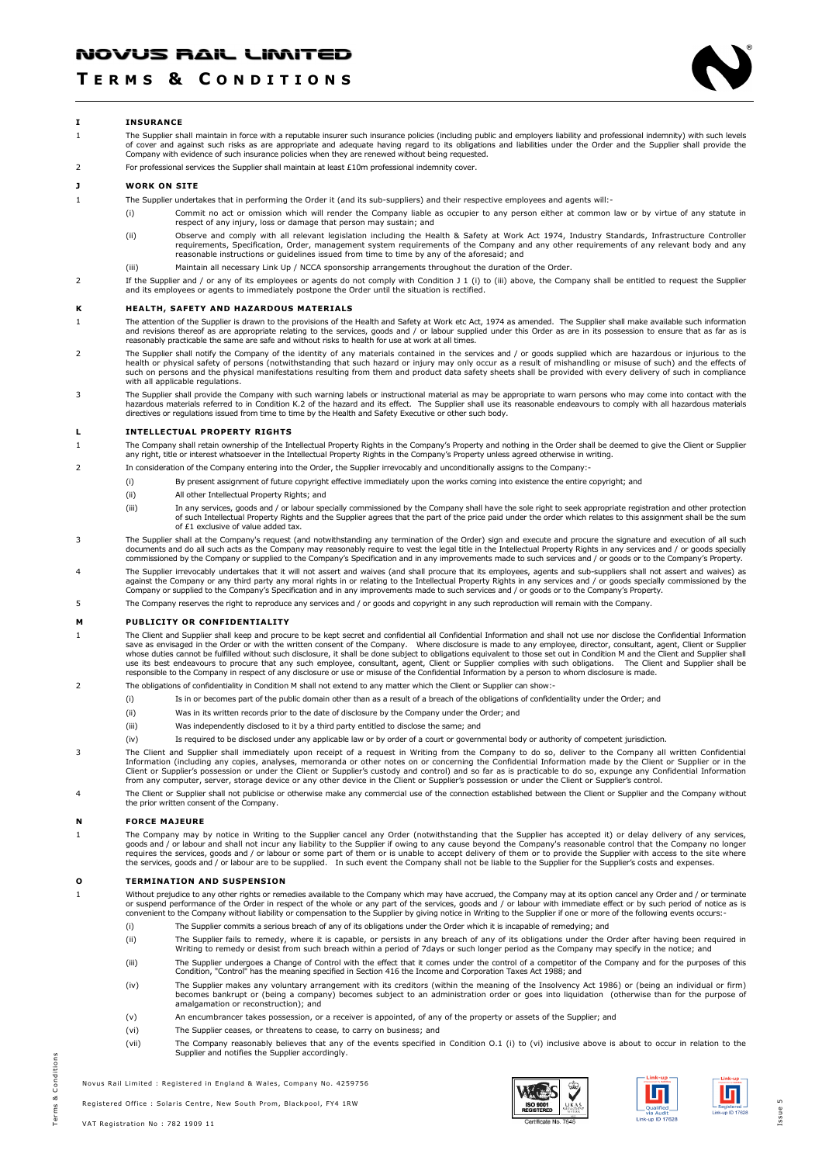# T E R M S & C O N D I T I O N S



### I INSURANCE

1 The Supplier shall maintain in force with a reputable insurer such insurance policies (including public and employers liability and professional indemnity) with such levels of cover and against such risks as are appropriate and adequate having regard to its obligations and liabilities under the Order and the Supplier shall provide the<br>Company with evidence of such insurance policies when they

## 2 For professional services the Supplier shall maintain at least £10m professional indemnity cover.

### J WORK ON SITE

- 1 The Supplier undertakes that in performing the Order it (and its sub-suppliers) and their respective employees and agents will:-
	- (i) Commit no act or omission which will render the Company liable as occupier to any person either at common law or by virtue of any statute in respect of any injury, loss or damage that person may sustain; and
		- ii) Observe and comply with all relevant legislation including the Health & Safety at Work Act 1974, Industry Standards, Infrastructure Controller)<br>requirements, Specification, Order, management system requirements of the reasonable instructions or guidelines issued from time to time by any of the aforesaid; and
	- (iii) Maintain all necessary Link Up / NCCA sponsorship arrangements throughout the duration of the Order.
- 2 If the Supplier and / or any of its employees or agents do not comply with Condition J 1 (i) to (iii) above, the Company shall be entitled to request the Supplier and its employees or agents to immediately postpone the Order until the situation is rectified.

### K HEALTH, SAFETY AND HAZARDOUS MATERIALS

- 1 The attention of the Supplier is drawn to the provisions of the Health and Safety at Work etc Act, 1974 as amended. The Supplier shall make available such information and revisions thereof as are appropriate relating to the services, goods and / or labour supplied under this Order as are in its possession to ensure that as far as is reasonably practicable the same are safe and without risks to health for use at work at all times.
- 2 The Supplier shall notify the Company of the identity of any materials contained in the services and / or goods supplied which are hazardous or injurious to the health or physical safety of persons (notwithstanding that such hazard or injury may only occur as a result of mishandling or misuse of such) and the effects of<br>such on persons and the physical manifestations resulting fro with all applicable regulations.
- The Supplier shall provide the Company with such warning labels or instructional material as may be appropriate to warn persons who may come into contact with the<br>hazardous materials referred to in Condition K.2 of the haz directives or regulations issued from time to time by the Health and Safety Executive or other such body.

## L INTELLECTUAL PROPERTY RIGHTS

- The Company shall retain ownership of the Intellectual Property Rights in the Company's Property and nothing in the Order shall be deemed to give the Client or Supplier<br>any right, title or interest whatsoever in the Intell
- 2 In consideration of the Company entering into the Order, the Supplier irrevocably and unconditionally assigns to the Company:-
	- (i) By present assignment of future copyright effective immediately upon the works coming into existence the entire copyright; and
	- (ii) All other Intellectual Property Rights; and
	- (iii) In any services, goods and / or labour specially commissioned by the Company shall have the sole right to seek appropriate registration and other protection of such Intellectual Property Rights and the Supplier agrees that the part of the price paid under the order which relates to this assignment shall be the sum of £1 exclusive of value added tax.
- 3 The Supplier shall at the Company's request (and notwithstanding any termination of the Order) sign and execute and procure the signature and execution of all such documents and do all such acts as the Company may reasonably require to vest the legal title in the Intellectual Property Rights in any services and / or goods specially<br>commissioned by the Company or supplied to the Compa
- 4 The Supplier irrevocably undertakes that it will not assert and waives (and shall procure that its employees, agents and sub-suppliers shall not assert and waives) as against the Company or any third party any moral rights in or relating to the Intellectual Property Rights in any services and / or goods specially commissioned by the<br>Company or supplied to the Company's Specification and
- 5 The Company reserves the right to reproduce any services and / or goods and copyright in any such reproduction will remain with the Company.

#### M PUBLICITY OR CONFIDENTIALITY

- The Client and Supplier shall keep and procure to be kept secret and confidential all Confidential Information and shall not use nor disclose the Confidential Information<br>save as envisaged in the Order or with the written responsible to the Company in respect of any disclosure or use or misuse of the Confidential Information by a person to whom disclosure is made.
- 2 The obligations of confidentiality in Condition M shall not extend to any matter which the Client or Supplier can show:-
	- (i) Is in or becomes part of the public domain other than as a result of a breach of the obligations of confidentiality under the Order; and
	- (ii) Was in its written records prior to the date of disclosure by the Company under the Order; and
	- (iii) Was independently disclosed to it by a third party entitled to disclose the same; and
	- (iv) Is required to be disclosed under any applicable law or by order of a court or governmental body or authority of competent jurisdiction.
- 3 The Client and Supplier shall immediately upon receipt of a request in Writing from the Company to do so, deliver to the Company all written Confidential Information (including any copies, analyses, memoranda or other notes on or concerning the Confidential Information made by the Client or Supplier or in the<br>Client or Supplier's possession or under the Client or Supplier's
- 4 The Client or Supplier shall not publicise or otherwise make any commercial use of the connection established between the Client or Supplier and the Company without the prior written consent of the Company.

#### N FORCE MAJEURE

1 The Company may by notice in Writing to the Supplier cancel any Order (notwithstanding that the Supplier has accepted it) or delay delivery of any services, goods and / or labour and shall not incur any liability to the Supplier if owing to any cause beyond the Company's reasonable control that the Company no longer<br>requires the services, goods and / or labour or some part of

#### O TERMINATION AND SUSPENSION

Without prejudice to any other rights or remedies available to the Company which may have accrued, the Company may at its option cancel any Order and / or terminate<br>or suspend performance of the Order in respect of the who convenient to the Company without liability or compensation to the Supplier by giving notice in Writing to the Supplier if one or more of the following events occurs:-

- (i) The Supplier commits a serious breach of any of its obligations under the Order which it is incapable of remedying; and
- (ii) The Supplier fails to remedy, where it is capable, or persists in any breach of any of its obligations under the Order after having been required in Writing to remedy or desist from such breach within a period of 7days or such longer period as the Company may specify in the notice; and
- (iii) The Supplier undergoes a Change of Control with the effect that it comes under the control of a competitor of the Company and for the purposes of this Condition, "Control" has the meaning specified in Section 416 the Income and Corporation Taxes Act 1988; and
- (iv) The Supplier makes any voluntary arrangement with its creditors (within the meaning of the Insolvency Act 1986) or (being an individual or firm)<br>becomes bankrupt or (being a company) becomes subject to an administrati amalgamation or reconstruction); and
- (v) An encumbrancer takes possession, or a receiver is appointed, of any of the property or assets of the Supplier; and
- (vi) The Supplier ceases, or threatens to cease, to carry on business; and
- (vii) The Company reasonably believes that any of the events specified in Condition O.1 (i) to (vi) inclusive above is about to occur in relation to the Supplier and notifies the Supplier accordingly.

Novus Rail Limited : Registered in England & Wales, Company No. 4259756

Registered Office : Solaris Centre, New South Prom, Blackpool, FY4 1RW





Iл

I s sue 5

n s